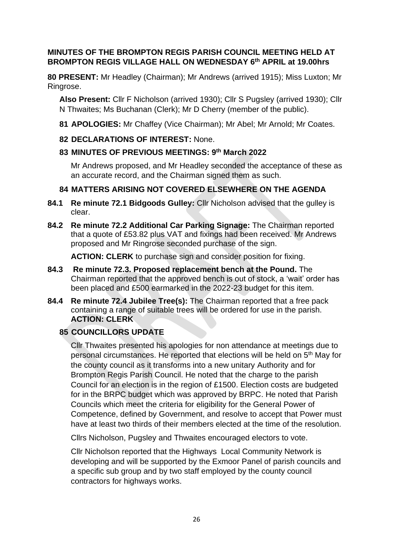### **MINUTES OF THE BROMPTON REGIS PARISH COUNCIL MEETING HELD AT BROMPTON REGIS VILLAGE HALL ON WEDNESDAY 6 th APRIL at 19.00hrs**

**80 PRESENT:** Mr Headley (Chairman); Mr Andrews (arrived 1915); Miss Luxton; Mr Ringrose.

**Also Present:** Cllr F Nicholson (arrived 1930); Cllr S Pugsley (arrived 1930); Cllr N Thwaites; Ms Buchanan (Clerk); Mr D Cherry (member of the public).

- **81 APOLOGIES:** Mr Chaffey (Vice Chairman); Mr Abel; Mr Arnold; Mr Coates.
- **82 DECLARATIONS OF INTEREST:** None.
- **83 MINUTES OF PREVIOUS MEETINGS: 9 th March 2022**

Mr Andrews proposed, and Mr Headley seconded the acceptance of these as an accurate record, and the Chairman signed them as such.

# **84 MATTERS ARISING NOT COVERED ELSEWHERE ON THE AGENDA**

- **84.1 Re minute 72.1 Bidgoods Gulley:** Cllr Nicholson advised that the gulley is clear.
- **84.2 Re minute 72.2 Additional Car Parking Signage:** The Chairman reported that a quote of £53.82 plus VAT and fixings had been received. Mr Andrews proposed and Mr Ringrose seconded purchase of the sign.

**ACTION: CLERK** to purchase sign and consider position for fixing.

- **84.3 Re minute 72.3. Proposed replacement bench at the Pound.** The Chairman reported that the approved bench is out of stock, a 'wait' order has been placed and £500 earmarked in the 2022-23 budget for this item.
- **84.4 Re minute 72.4 Jubilee Tree(s):** The Chairman reported that a free pack containing a range of suitable trees will be ordered for use in the parish. **ACTION: CLERK**

# **85 COUNCILLORS UPDATE**

Cllr Thwaites presented his apologies for non attendance at meetings due to personal circumstances. He reported that elections will be held on 5th May for the county council as it transforms into a new unitary Authority and for Brompton Regis Parish Council. He noted that the charge to the parish Council for an election is in the region of £1500. Election costs are budgeted for in the BRPC budget which was approved by BRPC. He noted that Parish Councils which meet the criteria for eligibility for the General Power of Competence, defined by Government, and resolve to accept that Power must have at least two thirds of their members elected at the time of the resolution.

Cllrs Nicholson, Pugsley and Thwaites encouraged electors to vote.

Cllr Nicholson reported that the Highways Local Community Network is developing and will be supported by the Exmoor Panel of parish councils and a specific sub group and by two staff employed by the county council contractors for highways works.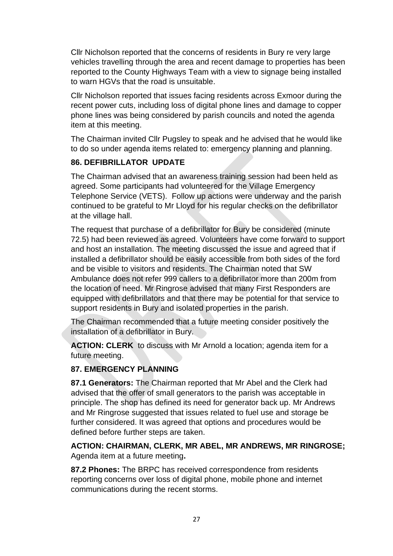Cllr Nicholson reported that the concerns of residents in Bury re very large vehicles travelling through the area and recent damage to properties has been reported to the County Highways Team with a view to signage being installed to warn HGVs that the road is unsuitable.

Cllr Nicholson reported that issues facing residents across Exmoor during the recent power cuts, including loss of digital phone lines and damage to copper phone lines was being considered by parish councils and noted the agenda item at this meeting.

The Chairman invited Cllr Pugsley to speak and he advised that he would like to do so under agenda items related to: emergency planning and planning.

# **86. DEFIBRILLATOR UPDATE**

The Chairman advised that an awareness training session had been held as agreed. Some participants had volunteered for the Village Emergency Telephone Service (VETS). Follow up actions were underway and the parish continued to be grateful to Mr Lloyd for his regular checks on the defibrillator at the village hall.

The request that purchase of a defibrillator for Bury be considered (minute 72.5) had been reviewed as agreed. Volunteers have come forward to support and host an installation. The meeting discussed the issue and agreed that if installed a defibrillator should be easily accessible from both sides of the ford and be visible to visitors and residents. The Chairman noted that SW Ambulance does not refer 999 callers to a defibrillator more than 200m from the location of need. Mr Ringrose advised that many First Responders are equipped with defibrillators and that there may be potential for that service to support residents in Bury and isolated properties in the parish.

The Chairman recommended that a future meeting consider positively the installation of a defibrillator in Bury.

**ACTION: CLERK** to discuss with Mr Arnold a location; agenda item for a future meeting.

# **87. EMERGENCY PLANNING**

**87.1 Generators:** The Chairman reported that Mr Abel and the Clerk had advised that the offer of small generators to the parish was acceptable in principle. The shop has defined its need for generator back up. Mr Andrews and Mr Ringrose suggested that issues related to fuel use and storage be further considered. It was agreed that options and procedures would be defined before further steps are taken.

**ACTION: CHAIRMAN, CLERK, MR ABEL, MR ANDREWS, MR RINGROSE;**  Agenda item at a future meeting**.**

**87.2 Phones:** The BRPC has received correspondence from residents reporting concerns over loss of digital phone, mobile phone and internet communications during the recent storms.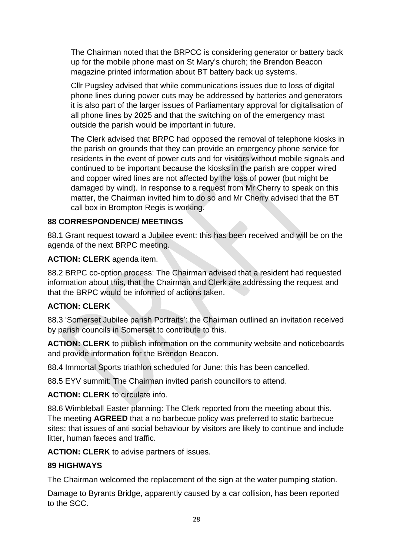The Chairman noted that the BRPCC is considering generator or battery back up for the mobile phone mast on St Mary's church; the Brendon Beacon magazine printed information about BT battery back up systems.

Cllr Pugsley advised that while communications issues due to loss of digital phone lines during power cuts may be addressed by batteries and generators it is also part of the larger issues of Parliamentary approval for digitalisation of all phone lines by 2025 and that the switching on of the emergency mast outside the parish would be important in future.

The Clerk advised that BRPC had opposed the removal of telephone kiosks in the parish on grounds that they can provide an emergency phone service for residents in the event of power cuts and for visitors without mobile signals and continued to be important because the kiosks in the parish are copper wired and copper wired lines are not affected by the loss of power (but might be damaged by wind). In response to a request from Mr Cherry to speak on this matter, the Chairman invited him to do so and Mr Cherry advised that the BT call box in Brompton Regis is working.

# **88 CORRESPONDENCE/ MEETINGS**

88.1 Grant request toward a Jubilee event: this has been received and will be on the agenda of the next BRPC meeting.

# **ACTION: CLERK** agenda item.

88.2 BRPC co-option process: The Chairman advised that a resident had requested information about this, that the Chairman and Clerk are addressing the request and that the BRPC would be informed of actions taken.

# **ACTION: CLERK**

88.3 'Somerset Jubilee parish Portraits': the Chairman outlined an invitation received by parish councils in Somerset to contribute to this.

**ACTION: CLERK** to publish information on the community website and noticeboards and provide information for the Brendon Beacon.

88.4 Immortal Sports triathlon scheduled for June: this has been cancelled.

88.5 EYV summit: The Chairman invited parish councillors to attend.

**ACTION: CLERK** to circulate info.

88.6 Wimbleball Easter planning: The Clerk reported from the meeting about this. The meeting **AGREED** that a no barbecue policy was preferred to static barbecue sites; that issues of anti social behaviour by visitors are likely to continue and include litter, human faeces and traffic.

**ACTION: CLERK** to advise partners of issues.

# **89 HIGHWAYS**

The Chairman welcomed the replacement of the sign at the water pumping station.

Damage to Byrants Bridge, apparently caused by a car collision, has been reported to the SCC.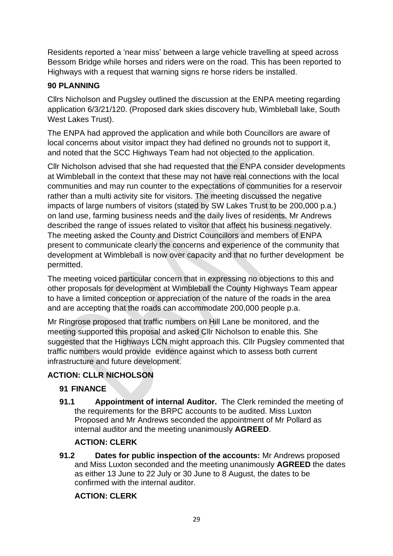Residents reported a 'near miss' between a large vehicle travelling at speed across Bessom Bridge while horses and riders were on the road. This has been reported to Highways with a request that warning signs re horse riders be installed.

### **90 PLANNING**

Cllrs Nicholson and Pugsley outlined the discussion at the ENPA meeting regarding application 6/3/21/120. (Proposed dark skies discovery hub, Wimbleball lake, South West Lakes Trust).

The ENPA had approved the application and while both Councillors are aware of local concerns about visitor impact they had defined no grounds not to support it, and noted that the SCC Highways Team had not objected to the application.

Cllr Nicholson advised that she had requested that the ENPA consider developments at Wimbleball in the context that these may not have real connections with the local communities and may run counter to the expectations of communities for a reservoir rather than a multi activity site for visitors. The meeting discussed the negative impacts of large numbers of visitors (stated by SW Lakes Trust to be 200,000 p.a.) on land use, farming business needs and the daily lives of residents. Mr Andrews described the range of issues related to visitor that affect his business negatively. The meeting asked the County and District Councillors and members of ENPA present to communicate clearly the concerns and experience of the community that development at Wimbleball is now over capacity and that no further development be permitted.

The meeting voiced particular concern that in expressing no objections to this and other proposals for development at Wimbleball the County Highways Team appear to have a limited conception or appreciation of the nature of the roads in the area and are accepting that the roads can accommodate 200,000 people p.a.

Mr Ringrose proposed that traffic numbers on Hill Lane be monitored, and the meeting supported this proposal and asked Cllr Nicholson to enable this. She suggested that the Highways LCN might approach this. Cllr Pugsley commented that traffic numbers would provide evidence against which to assess both current infrastructure and future development.

# **ACTION: CLLR NICHOLSON**

### **91 FINANCE**

**91.1 Appointment of internal Auditor.** The Clerk reminded the meeting of the requirements for the BRPC accounts to be audited. Miss Luxton Proposed and Mr Andrews seconded the appointment of Mr Pollard as internal auditor and the meeting unanimously **AGREED**.

### **ACTION: CLERK**

**91.2 Dates for public inspection of the accounts:** Mr Andrews proposed and Miss Luxton seconded and the meeting unanimously **AGREED** the dates as either 13 June to 22 July or 30 June to 8 August, the dates to be confirmed with the internal auditor.

# **ACTION: CLERK**